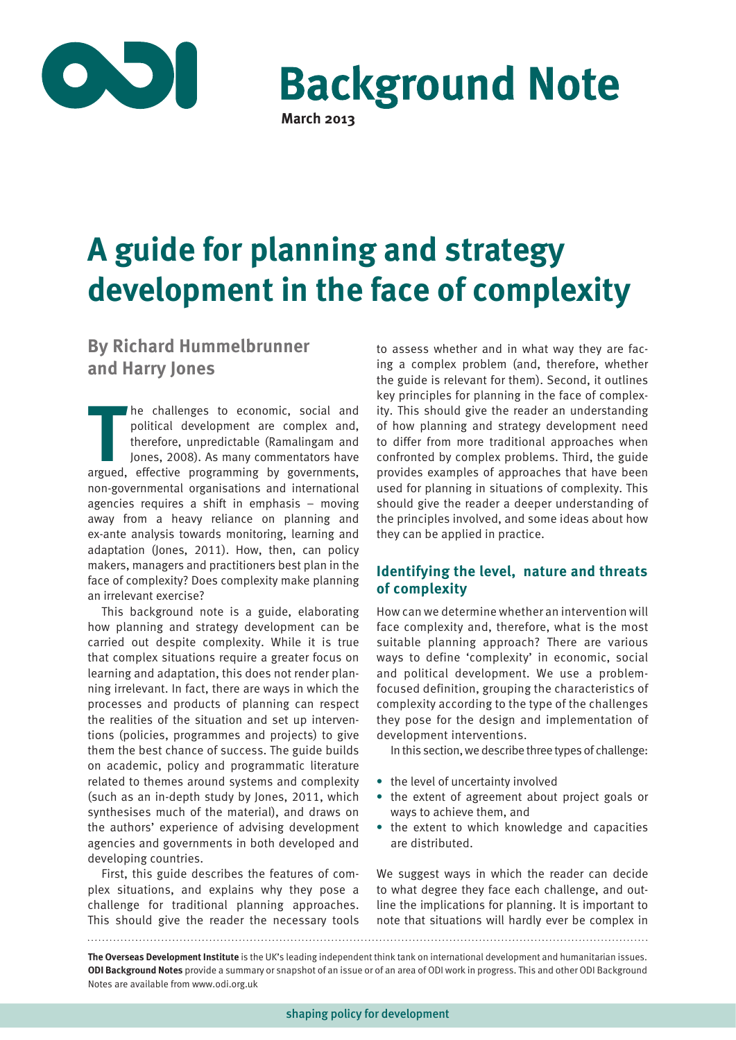

**Background Note March 2013**

# **A guide for planning and strategy development in the face of complexity**

# **By Richard Hummelbrunner and Harry Jones**

**THE SET OF CONSIGNATION**<br> **THE PROPERTIES AND PROPERTIES AND THE PROPERTIES AND THE PROPERTY ONES, 2008). As many commentators have<br>
argued, effective programming by governments,** he challenges to economic, social and political development are complex and, therefore, unpredictable (Ramalingam and Jones, 2008). As many commentators have non-governmental organisations and international agencies requires a shift in emphasis – moving away from a heavy reliance on planning and ex-ante analysis towards monitoring, learning and adaptation (Jones, 2011). How, then, can policy makers, managers and practitioners best plan in the face of complexity? Does complexity make planning an irrelevant exercise?

This background note is a guide, elaborating how planning and strategy development can be carried out despite complexity. While it is true that complex situations require a greater focus on learning and adaptation, this does not render planning irrelevant. In fact, there are ways in which the processes and products of planning can respect the realities of the situation and set up interventions (policies, programmes and projects) to give them the best chance of success. The guide builds on academic, policy and programmatic literature related to themes around systems and complexity (such as an in-depth study by Jones, 2011, which synthesises much of the material), and draws on the authors' experience of advising development agencies and governments in both developed and developing countries.

First, this guide describes the features of complex situations, and explains why they pose a challenge for traditional planning approaches. This should give the reader the necessary tools

to assess whether and in what way they are facing a complex problem (and, therefore, whether the guide is relevant for them). Second, it outlines key principles for planning in the face of complexity. This should give the reader an understanding of how planning and strategy development need to differ from more traditional approaches when confronted by complex problems. Third, the guide provides examples of approaches that have been used for planning in situations of complexity. This should give the reader a deeper understanding of the principles involved, and some ideas about how they can be applied in practice.

# **Identifying the level, nature and threats of complexity**

How can we determine whether an intervention will face complexity and, therefore, what is the most suitable planning approach? There are various ways to define 'complexity' in economic, social and political development. We use a problemfocused definition, grouping the characteristics of complexity according to the type of the challenges they pose for the design and implementation of development interventions.

In this section, we describe three types of challenge:

- **•** the level of uncertainty involved
- **•** the extent of agreement about project goals or ways to achieve them, and
- **•** the extent to which knowledge and capacities are distributed.

We suggest ways in which the reader can decide to what degree they face each challenge, and outline the implications for planning. It is important to note that situations will hardly ever be complex in

**The Overseas Development Institute** is the UK's leading independent think tank on international development and humanitarian issues. **ODI Background Notes** provide a summary or snapshot of an issue or of an area of ODI work in progress. This and other ODI Background Notes are available from www.odi.org.uk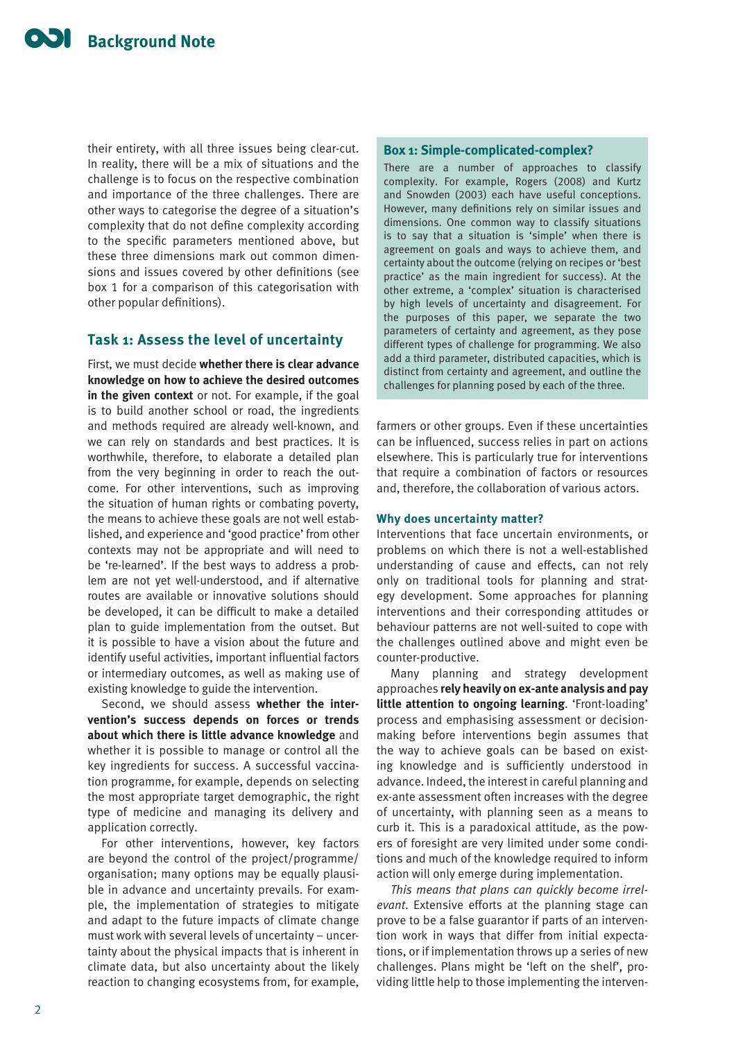their entirety, with all three issues being clear-cut. In reality, there will be a mix of situations and the challenge is to focus on the respective combination and importance of the three challenges. There are other ways to categorise the degree of a situation's complexity that do not define complexity according to the specific parameters mentioned above, but these three dimensions mark out common dimensions and issues covered by other definitions (see box 1 for a comparison of this categorisation with other popular definitions).

## **Task 1: Assess the level of uncertainty**

First, we must decide **whether there is clear advance knowledge on how to achieve the desired outcomes in the given context** or not. For example, if the goal is to build another school or road, the ingredients and methods required are already well-known, and we can rely on standards and best practices. It is worthwhile, therefore, to elaborate a detailed plan from the very beginning in order to reach the outcome. For other interventions, such as improving the situation of human rights or combating poverty, the means to achieve these goals are not well established, and experience and 'good practice' from other contexts may not be appropriate and will need to be 're-learned'. If the best ways to address a problem are not yet well-understood, and if alternative routes are available or innovative solutions should be developed, it can be difficult to make a detailed plan to guide implementation from the outset. But it is possible to have a vision about the future and identify useful activities, important influential factors or intermediary outcomes, as well as making use of existing knowledge to guide the intervention.

Second, we should assess **whether the intervention's success depends on forces or trends about which there is little advance knowledge** and whether it is possible to manage or control all the key ingredients for success. A successful vaccination programme, for example, depends on selecting the most appropriate target demographic, the right type of medicine and managing its delivery and application correctly.

For other interventions, however, key factors are beyond the control of the project/programme/ organisation; many options may be equally plausible in advance and uncertainty prevails. For example, the implementation of strategies to mitigate and adapt to the future impacts of climate change must work with several levels of uncertainty – uncertainty about the physical impacts that is inherent in climate data, but also uncertainty about the likely reaction to changing ecosystems from, for example,

#### **Box 1: Simple-complicated-complex?**

There are a number of approaches to classify complexity. For example, Rogers (2008) and Kurtz and Snowden (2003) each have useful conceptions. However, many definitions rely on similar issues and dimensions. One common way to classify situations is to say that a situation is 'simple' when there is agreement on goals and ways to achieve them, and certainty about the outcome (relying on recipes or 'best practice' as the main ingredient for success). At the other extreme, a 'complex' situation is characterised by high levels of uncertainty and disagreement. For the purposes of this paper, we separate the two parameters of certainty and agreement, as they pose different types of challenge for programming. We also add a third parameter, distributed capacities, which is distinct from certainty and agreement, and outline the challenges for planning posed by each of the three.

farmers or other groups. Even if these uncertainties can be influenced, success relies in part on actions elsewhere. This is particularly true for interventions that require a combination of factors or resources and, therefore, the collaboration of various actors.

#### **Why does uncertainty matter?**

Interventions that face uncertain environments, or problems on which there is not a well-established understanding of cause and effects, can not rely only on traditional tools for planning and strategy development. Some approaches for planning interventions and their corresponding attitudes or behaviour patterns are not well-suited to cope with the challenges outlined above and might even be counter-productive.

Many planning and strategy development approaches **rely heavily on ex-ante analysis and pay little attention to ongoing learning**. 'Front-loading' process and emphasising assessment or decisionmaking before interventions begin assumes that the way to achieve goals can be based on existing knowledge and is sufficiently understood in advance. Indeed, the interest in careful planning and ex-ante assessment often increases with the degree of uncertainty, with planning seen as a means to curb it. This is a paradoxical attitude, as the powers of foresight are very limited under some conditions and much of the knowledge required to inform action will only emerge during implementation.

*This means that plans can quickly become irrelevant*. Extensive efforts at the planning stage can prove to be a false guarantor if parts of an intervention work in ways that differ from initial expectations, or if implementation throws up a series of new challenges. Plans might be 'left on the shelf', providing little help to those implementing the interven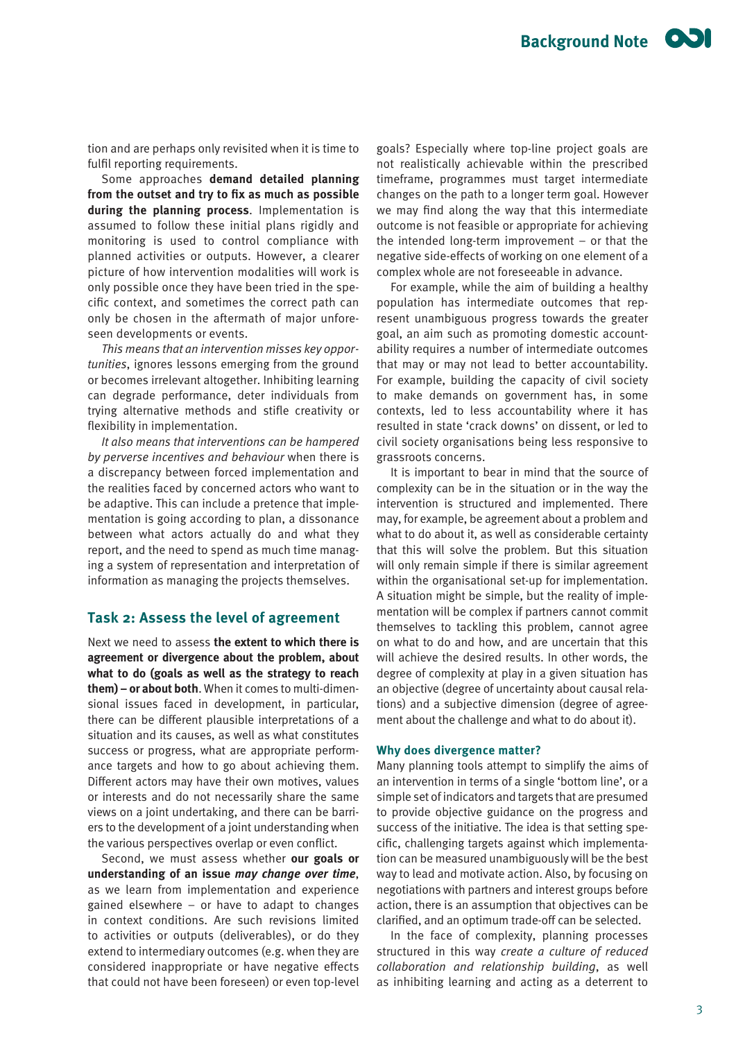tion and are perhaps only revisited when it is time to fulfil reporting requirements.

Some approaches **demand detailed planning from the outset and try to fix as much as possible during the planning process**. Implementation is assumed to follow these initial plans rigidly and monitoring is used to control compliance with planned activities or outputs. However, a clearer picture of how intervention modalities will work is only possible once they have been tried in the specific context, and sometimes the correct path can only be chosen in the aftermath of major unforeseen developments or events.

*This means that an intervention misses key opportunities*, ignores lessons emerging from the ground or becomes irrelevant altogether. Inhibiting learning can degrade performance, deter individuals from trying alternative methods and stifle creativity or flexibility in implementation.

*It also means that interventions can be hampered by perverse incentives and behaviour* when there is a discrepancy between forced implementation and the realities faced by concerned actors who want to be adaptive. This can include a pretence that implementation is going according to plan, a dissonance between what actors actually do and what they report, and the need to spend as much time managing a system of representation and interpretation of information as managing the projects themselves.

## **Task 2: Assess the level of agreement**

Next we need to assess **the extent to which there is agreement or divergence about the problem, about what to do (goals as well as the strategy to reach them) – or about both**. When it comes to multi-dimensional issues faced in development, in particular, there can be different plausible interpretations of a situation and its causes, as well as what constitutes success or progress, what are appropriate performance targets and how to go about achieving them. Different actors may have their own motives, values or interests and do not necessarily share the same views on a joint undertaking, and there can be barriers to the development of a joint understanding when the various perspectives overlap or even conflict.

Second, we must assess whether **our goals or understanding of an issue** *may change over time*, as we learn from implementation and experience gained elsewhere – or have to adapt to changes in context conditions. Are such revisions limited to activities or outputs (deliverables), or do they extend to intermediary outcomes (e.g. when they are considered inappropriate or have negative effects that could not have been foreseen) or even top-level

goals? Especially where top-line project goals are not realistically achievable within the prescribed timeframe, programmes must target intermediate changes on the path to a longer term goal. However we may find along the way that this intermediate outcome is not feasible or appropriate for achieving the intended long-term improvement – or that the negative side-effects of working on one element of a complex whole are not foreseeable in advance.

For example, while the aim of building a healthy population has intermediate outcomes that represent unambiguous progress towards the greater goal, an aim such as promoting domestic accountability requires a number of intermediate outcomes that may or may not lead to better accountability. For example, building the capacity of civil society to make demands on government has, in some contexts, led to less accountability where it has resulted in state 'crack downs' on dissent, or led to civil society organisations being less responsive to grassroots concerns.

It is important to bear in mind that the source of complexity can be in the situation or in the way the intervention is structured and implemented. There may, for example, be agreement about a problem and what to do about it, as well as considerable certainty that this will solve the problem. But this situation will only remain simple if there is similar agreement within the organisational set-up for implementation. A situation might be simple, but the reality of implementation will be complex if partners cannot commit themselves to tackling this problem, cannot agree on what to do and how, and are uncertain that this will achieve the desired results. In other words, the degree of complexity at play in a given situation has an objective (degree of uncertainty about causal relations) and a subjective dimension (degree of agreement about the challenge and what to do about it).

#### **Why does divergence matter?**

Many planning tools attempt to simplify the aims of an intervention in terms of a single 'bottom line', or a simple set of indicators and targets that are presumed to provide objective guidance on the progress and success of the initiative. The idea is that setting specific, challenging targets against which implementation can be measured unambiguously will be the best way to lead and motivate action. Also, by focusing on negotiations with partners and interest groups before action, there is an assumption that objectives can be clarified, and an optimum trade-off can be selected.

In the face of complexity, planning processes structured in this way *create a culture of reduced collaboration and relationship building*, as well as inhibiting learning and acting as a deterrent to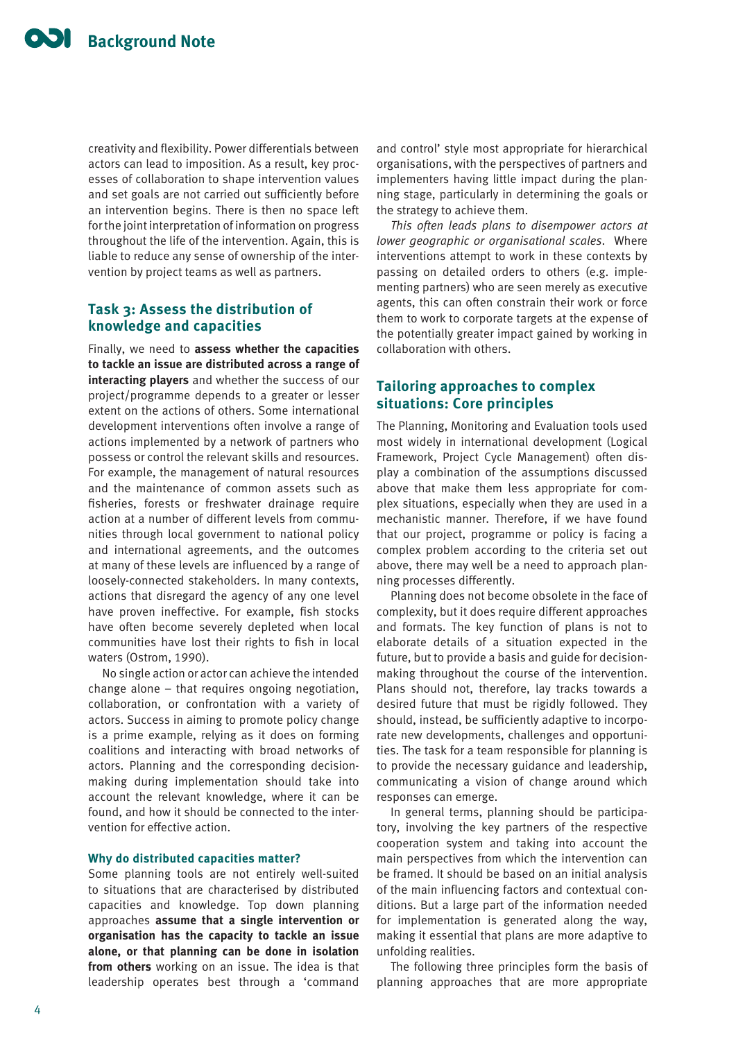creativity and flexibility. Power differentials between actors can lead to imposition. As a result, key processes of collaboration to shape intervention values and set goals are not carried out sufficiently before an intervention begins. There is then no space left for the joint interpretation of information on progress throughout the life of the intervention. Again, this is liable to reduce any sense of ownership of the intervention by project teams as well as partners.

## **Task 3: Assess the distribution of knowledge and capacities**

Finally, we need to **assess whether the capacities to tackle an issue are distributed across a range of interacting players** and whether the success of our project/programme depends to a greater or lesser extent on the actions of others. Some international development interventions often involve a range of actions implemented by a network of partners who possess or control the relevant skills and resources. For example, the management of natural resources and the maintenance of common assets such as fisheries, forests or freshwater drainage require action at a number of different levels from communities through local government to national policy and international agreements, and the outcomes at many of these levels are influenced by a range of loosely-connected stakeholders. In many contexts, actions that disregard the agency of any one level have proven ineffective. For example, fish stocks have often become severely depleted when local communities have lost their rights to fish in local waters (Ostrom, 1990).

No single action or actor can achieve the intended change alone – that requires ongoing negotiation, collaboration, or confrontation with a variety of actors. Success in aiming to promote policy change is a prime example, relying as it does on forming coalitions and interacting with broad networks of actors. Planning and the corresponding decisionmaking during implementation should take into account the relevant knowledge, where it can be found, and how it should be connected to the intervention for effective action.

### **Why do distributed capacities matter?**

Some planning tools are not entirely well-suited to situations that are characterised by distributed capacities and knowledge. Top down planning approaches **assume that a single intervention or organisation has the capacity to tackle an issue alone, or that planning can be done in isolation from others** working on an issue. The idea is that leadership operates best through a 'command

and control' style most appropriate for hierarchical organisations, with the perspectives of partners and implementers having little impact during the planning stage, particularly in determining the goals or the strategy to achieve them.

*This often leads plans to disempower actors at lower geographic or organisational scales*. Where interventions attempt to work in these contexts by passing on detailed orders to others (e.g. implementing partners) who are seen merely as executive agents, this can often constrain their work or force them to work to corporate targets at the expense of the potentially greater impact gained by working in collaboration with others.

## **Tailoring approaches to complex situations: Core principles**

The Planning, Monitoring and Evaluation tools used most widely in international development (Logical Framework, Project Cycle Management) often display a combination of the assumptions discussed above that make them less appropriate for complex situations, especially when they are used in a mechanistic manner. Therefore, if we have found that our project, programme or policy is facing a complex problem according to the criteria set out above, there may well be a need to approach planning processes differently.

Planning does not become obsolete in the face of complexity, but it does require different approaches and formats. The key function of plans is not to elaborate details of a situation expected in the future, but to provide a basis and guide for decisionmaking throughout the course of the intervention. Plans should not, therefore, lay tracks towards a desired future that must be rigidly followed. They should, instead, be sufficiently adaptive to incorporate new developments, challenges and opportunities. The task for a team responsible for planning is to provide the necessary guidance and leadership, communicating a vision of change around which responses can emerge.

In general terms, planning should be participatory, involving the key partners of the respective cooperation system and taking into account the main perspectives from which the intervention can be framed. It should be based on an initial analysis of the main influencing factors and contextual conditions. But a large part of the information needed for implementation is generated along the way, making it essential that plans are more adaptive to unfolding realities.

The following three principles form the basis of planning approaches that are more appropriate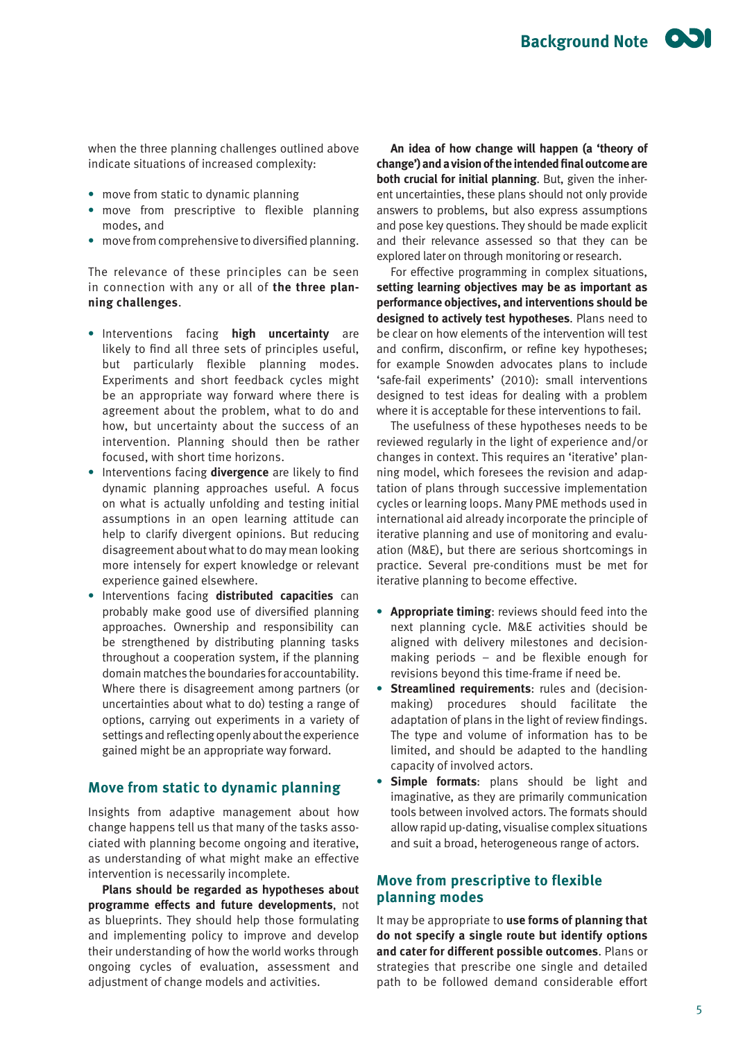when the three planning challenges outlined above indicate situations of increased complexity:

- **•** move from static to dynamic planning
- **•** move from prescriptive to flexible planning modes, and
- **•** move from comprehensive to diversified planning.

The relevance of these principles can be seen in connection with any or all of **the three planning challenges**.

- **•** Interventions facing **high uncertainty** are likely to find all three sets of principles useful, but particularly flexible planning modes. Experiments and short feedback cycles might be an appropriate way forward where there is agreement about the problem, what to do and how, but uncertainty about the success of an intervention. Planning should then be rather focused, with short time horizons.
- **•** Interventions facing **divergence** are likely to find dynamic planning approaches useful. A focus on what is actually unfolding and testing initial assumptions in an open learning attitude can help to clarify divergent opinions. But reducing disagreement about what to do may mean looking more intensely for expert knowledge or relevant experience gained elsewhere.
- **•** Interventions facing **distributed capacities** can probably make good use of diversified planning approaches. Ownership and responsibility can be strengthened by distributing planning tasks throughout a cooperation system, if the planning domain matches the boundaries for accountability. Where there is disagreement among partners (or uncertainties about what to do) testing a range of options, carrying out experiments in a variety of settings and reflecting openly about the experience gained might be an appropriate way forward.

## **Move from static to dynamic planning**

Insights from adaptive management about how change happens tell us that many of the tasks associated with planning become ongoing and iterative, as understanding of what might make an effective intervention is necessarily incomplete.

**Plans should be regarded as hypotheses about programme effects and future developments**, not as blueprints. They should help those formulating and implementing policy to improve and develop their understanding of how the world works through ongoing cycles of evaluation, assessment and adjustment of change models and activities.

**An idea of how change will happen (a 'theory of change') and a vision of the intended final outcome are both crucial for initial planning**. But, given the inherent uncertainties, these plans should not only provide answers to problems, but also express assumptions and pose key questions. They should be made explicit and their relevance assessed so that they can be explored later on through monitoring or research.

For effective programming in complex situations, **setting learning objectives may be as important as performance objectives, and interventions should be designed to actively test hypotheses**. Plans need to be clear on how elements of the intervention will test and confirm, disconfirm, or refine key hypotheses; for example Snowden advocates plans to include 'safe-fail experiments' (2010): small interventions designed to test ideas for dealing with a problem where it is acceptable for these interventions to fail.

The usefulness of these hypotheses needs to be reviewed regularly in the light of experience and/or changes in context. This requires an 'iterative' planning model, which foresees the revision and adaptation of plans through successive implementation cycles or learning loops. Many PME methods used in international aid already incorporate the principle of iterative planning and use of monitoring and evaluation (M&E), but there are serious shortcomings in practice. Several pre-conditions must be met for iterative planning to become effective.

- **• Appropriate timing**: reviews should feed into the next planning cycle. M&E activities should be aligned with delivery milestones and decisionmaking periods – and be flexible enough for revisions beyond this time-frame if need be.
- **• Streamlined requirements**: rules and (decisionmaking) procedures should facilitate the adaptation of plans in the light of review findings. The type and volume of information has to be limited, and should be adapted to the handling capacity of involved actors.
- **• Simple formats**: plans should be light and imaginative, as they are primarily communication tools between involved actors. The formats should allow rapid up-dating, visualise complex situations and suit a broad, heterogeneous range of actors.

# **Move from prescriptive to flexible planning modes**

It may be appropriate to **use forms of planning that do not specify a single route but identify options and cater for different possible outcomes**. Plans or strategies that prescribe one single and detailed path to be followed demand considerable effort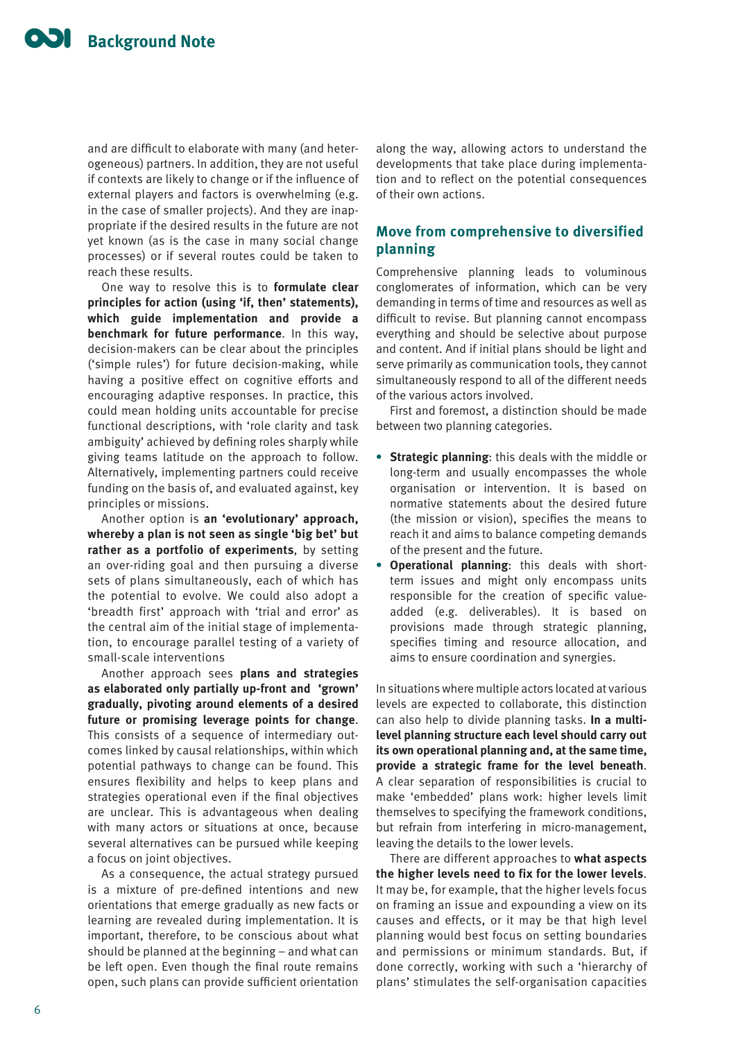and are difficult to elaborate with many (and heterogeneous) partners. In addition, they are not useful if contexts are likely to change or if the influence of external players and factors is overwhelming (e.g. in the case of smaller projects). And they are inappropriate if the desired results in the future are not yet known (as is the case in many social change processes) or if several routes could be taken to reach these results.

One way to resolve this is to **formulate clear principles for action (using 'if, then' statements), which guide implementation and provide a benchmark for future performance**. In this way, decision-makers can be clear about the principles ('simple rules') for future decision-making, while having a positive effect on cognitive efforts and encouraging adaptive responses. In practice, this could mean holding units accountable for precise functional descriptions, with 'role clarity and task ambiguity' achieved by defining roles sharply while giving teams latitude on the approach to follow. Alternatively, implementing partners could receive funding on the basis of, and evaluated against, key principles or missions.

Another option is **an 'evolutionary' approach, whereby a plan is not seen as single 'big bet' but rather as a portfolio of experiments**, by setting an over-riding goal and then pursuing a diverse sets of plans simultaneously, each of which has the potential to evolve. We could also adopt a 'breadth first' approach with 'trial and error' as the central aim of the initial stage of implementation, to encourage parallel testing of a variety of small-scale interventions

Another approach sees **plans and strategies as elaborated only partially up-front and 'grown' gradually, pivoting around elements of a desired future or promising leverage points for change**. This consists of a sequence of intermediary outcomes linked by causal relationships, within which potential pathways to change can be found. This ensures flexibility and helps to keep plans and strategies operational even if the final objectives are unclear. This is advantageous when dealing with many actors or situations at once, because several alternatives can be pursued while keeping a focus on joint objectives.

As a consequence, the actual strategy pursued is a mixture of pre-defined intentions and new orientations that emerge gradually as new facts or learning are revealed during implementation. It is important, therefore, to be conscious about what should be planned at the beginning – and what can be left open. Even though the final route remains open, such plans can provide sufficient orientation along the way, allowing actors to understand the developments that take place during implementation and to reflect on the potential consequences of their own actions.

# **Move from comprehensive to diversified planning**

Comprehensive planning leads to voluminous conglomerates of information, which can be very demanding in terms of time and resources as well as difficult to revise. But planning cannot encompass everything and should be selective about purpose and content. And if initial plans should be light and serve primarily as communication tools, they cannot simultaneously respond to all of the different needs of the various actors involved.

First and foremost, a distinction should be made between two planning categories.

- **• Strategic planning**: this deals with the middle or long-term and usually encompasses the whole organisation or intervention. It is based on normative statements about the desired future (the mission or vision), specifies the means to reach it and aims to balance competing demands of the present and the future.
- **• Operational planning**: this deals with shortterm issues and might only encompass units responsible for the creation of specific valueadded (e.g. deliverables). It is based on provisions made through strategic planning, specifies timing and resource allocation, and aims to ensure coordination and synergies.

In situations where multiple actors located at various levels are expected to collaborate, this distinction can also help to divide planning tasks. **In a multilevel planning structure each level should carry out its own operational planning and, at the same time, provide a strategic frame for the level beneath**. A clear separation of responsibilities is crucial to make 'embedded' plans work: higher levels limit themselves to specifying the framework conditions, but refrain from interfering in micro-management, leaving the details to the lower levels.

There are different approaches to **what aspects the higher levels need to fix for the lower levels**. It may be, for example, that the higher levels focus on framing an issue and expounding a view on its causes and effects, or it may be that high level planning would best focus on setting boundaries and permissions or minimum standards. But, if done correctly, working with such a 'hierarchy of plans' stimulates the self-organisation capacities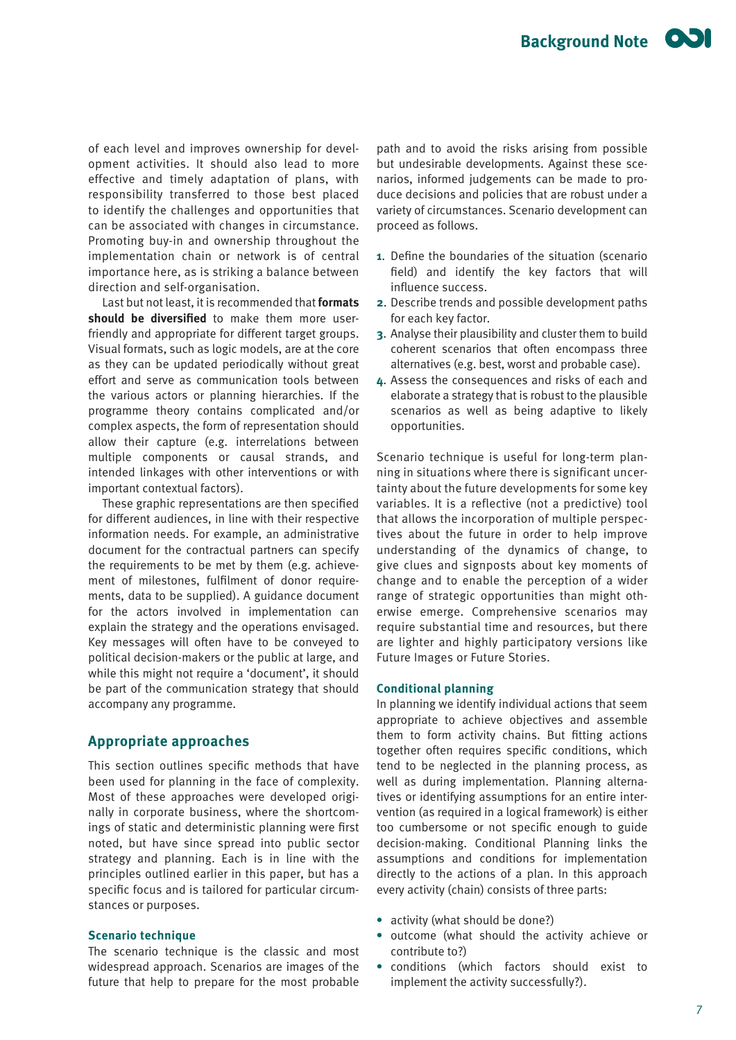of each level and improves ownership for development activities. It should also lead to more effective and timely adaptation of plans, with responsibility transferred to those best placed to identify the challenges and opportunities that can be associated with changes in circumstance. Promoting buy-in and ownership throughout the implementation chain or network is of central importance here, as is striking a balance between direction and self-organisation.

Last but not least, it is recommended that **formats should be diversified** to make them more userfriendly and appropriate for different target groups. Visual formats, such as logic models, are at the core as they can be updated periodically without great effort and serve as communication tools between the various actors or planning hierarchies. If the programme theory contains complicated and/or complex aspects, the form of representation should allow their capture (e.g. interrelations between multiple components or causal strands, and intended linkages with other interventions or with important contextual factors).

These graphic representations are then specified for different audiences, in line with their respective information needs. For example, an administrative document for the contractual partners can specify the requirements to be met by them (e.g. achievement of milestones, fulfilment of donor requirements, data to be supplied). A guidance document for the actors involved in implementation can explain the strategy and the operations envisaged. Key messages will often have to be conveyed to political decision-makers or the public at large, and while this might not require a 'document', it should be part of the communication strategy that should accompany any programme.

## **Appropriate approaches**

This section outlines specific methods that have been used for planning in the face of complexity. Most of these approaches were developed originally in corporate business, where the shortcomings of static and deterministic planning were first noted, but have since spread into public sector strategy and planning. Each is in line with the principles outlined earlier in this paper, but has a specific focus and is tailored for particular circumstances or purposes.

### **Scenario technique**

The scenario technique is the classic and most widespread approach. Scenarios are images of the future that help to prepare for the most probable

path and to avoid the risks arising from possible but undesirable developments. Against these scenarios, informed judgements can be made to produce decisions and policies that are robust under a variety of circumstances. Scenario development can proceed as follows.

- **1**. Define the boundaries of the situation (scenario field) and identify the key factors that will influence success.
- **2**. Describe trends and possible development paths for each key factor.
- **3**. Analyse their plausibility and cluster them to build coherent scenarios that often encompass three alternatives (e.g. best, worst and probable case).
- **4**. Assess the consequences and risks of each and elaborate a strategy that is robust to the plausible scenarios as well as being adaptive to likely opportunities.

Scenario technique is useful for long-term planning in situations where there is significant uncertainty about the future developments for some key variables. It is a reflective (not a predictive) tool that allows the incorporation of multiple perspectives about the future in order to help improve understanding of the dynamics of change, to give clues and signposts about key moments of change and to enable the perception of a wider range of strategic opportunities than might otherwise emerge. Comprehensive scenarios may require substantial time and resources, but there are lighter and highly participatory versions like Future Images or Future Stories.

#### **Conditional planning**

In planning we identify individual actions that seem appropriate to achieve objectives and assemble them to form activity chains. But fitting actions together often requires specific conditions, which tend to be neglected in the planning process, as well as during implementation. Planning alternatives or identifying assumptions for an entire intervention (as required in a logical framework) is either too cumbersome or not specific enough to guide decision-making. Conditional Planning links the assumptions and conditions for implementation directly to the actions of a plan. In this approach every activity (chain) consists of three parts:

- **•** activity (what should be done?)
- **•** outcome (what should the activity achieve or contribute to?)
- **•** conditions (which factors should exist to implement the activity successfully?).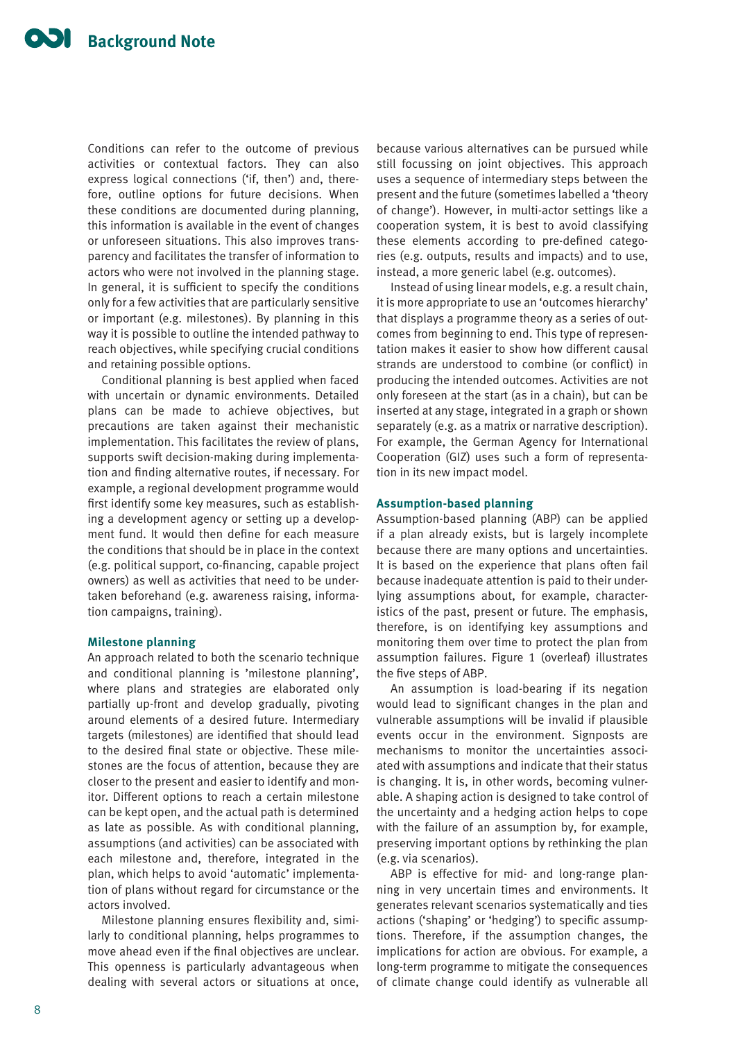Conditions can refer to the outcome of previous activities or contextual factors. They can also express logical connections ('if, then') and, therefore, outline options for future decisions. When these conditions are documented during planning, this information is available in the event of changes or unforeseen situations. This also improves transparency and facilitates the transfer of information to actors who were not involved in the planning stage. In general, it is sufficient to specify the conditions only for a few activities that are particularly sensitive or important (e.g. milestones). By planning in this way it is possible to outline the intended pathway to reach objectives, while specifying crucial conditions and retaining possible options.

Conditional planning is best applied when faced with uncertain or dynamic environments. Detailed plans can be made to achieve objectives, but precautions are taken against their mechanistic implementation. This facilitates the review of plans, supports swift decision-making during implementation and finding alternative routes, if necessary. For example, a regional development programme would first identify some key measures, such as establishing a development agency or setting up a development fund. It would then define for each measure the conditions that should be in place in the context (e.g. political support, co-financing, capable project owners) as well as activities that need to be undertaken beforehand (e.g. awareness raising, information campaigns, training).

### **Milestone planning**

An approach related to both the scenario technique and conditional planning is 'milestone planning', where plans and strategies are elaborated only partially up-front and develop gradually, pivoting around elements of a desired future. Intermediary targets (milestones) are identified that should lead to the desired final state or objective. These milestones are the focus of attention, because they are closer to the present and easier to identify and monitor. Different options to reach a certain milestone can be kept open, and the actual path is determined as late as possible. As with conditional planning, assumptions (and activities) can be associated with each milestone and, therefore, integrated in the plan, which helps to avoid 'automatic' implementation of plans without regard for circumstance or the actors involved.

Milestone planning ensures flexibility and, similarly to conditional planning, helps programmes to move ahead even if the final objectives are unclear. This openness is particularly advantageous when dealing with several actors or situations at once,

because various alternatives can be pursued while still focussing on joint objectives. This approach uses a sequence of intermediary steps between the present and the future (sometimes labelled a 'theory of change'). However, in multi-actor settings like a cooperation system, it is best to avoid classifying these elements according to pre-defined categories (e.g. outputs, results and impacts) and to use, instead, a more generic label (e.g. outcomes).

Instead of using linear models, e.g. a result chain, it is more appropriate to use an 'outcomes hierarchy' that displays a programme theory as a series of outcomes from beginning to end. This type of representation makes it easier to show how different causal strands are understood to combine (or conflict) in producing the intended outcomes. Activities are not only foreseen at the start (as in a chain), but can be inserted at any stage, integrated in a graph or shown separately (e.g. as a matrix or narrative description). For example, the German Agency for International Cooperation (GIZ) uses such a form of representation in its new impact model.

#### **Assumption-based planning**

Assumption-based planning (ABP) can be applied if a plan already exists, but is largely incomplete because there are many options and uncertainties. It is based on the experience that plans often fail because inadequate attention is paid to their underlying assumptions about, for example, characteristics of the past, present or future. The emphasis, therefore, is on identifying key assumptions and monitoring them over time to protect the plan from assumption failures. Figure 1 (overleaf) illustrates the five steps of ABP.

An assumption is load-bearing if its negation would lead to significant changes in the plan and vulnerable assumptions will be invalid if plausible events occur in the environment. Signposts are mechanisms to monitor the uncertainties associated with assumptions and indicate that their status is changing. It is, in other words, becoming vulnerable. A shaping action is designed to take control of the uncertainty and a hedging action helps to cope with the failure of an assumption by, for example, preserving important options by rethinking the plan (e.g. via scenarios).

ABP is effective for mid- and long-range planning in very uncertain times and environments. It generates relevant scenarios systematically and ties actions ('shaping' or 'hedging') to specific assumptions. Therefore, if the assumption changes, the implications for action are obvious. For example, a long-term programme to mitigate the consequences of climate change could identify as vulnerable all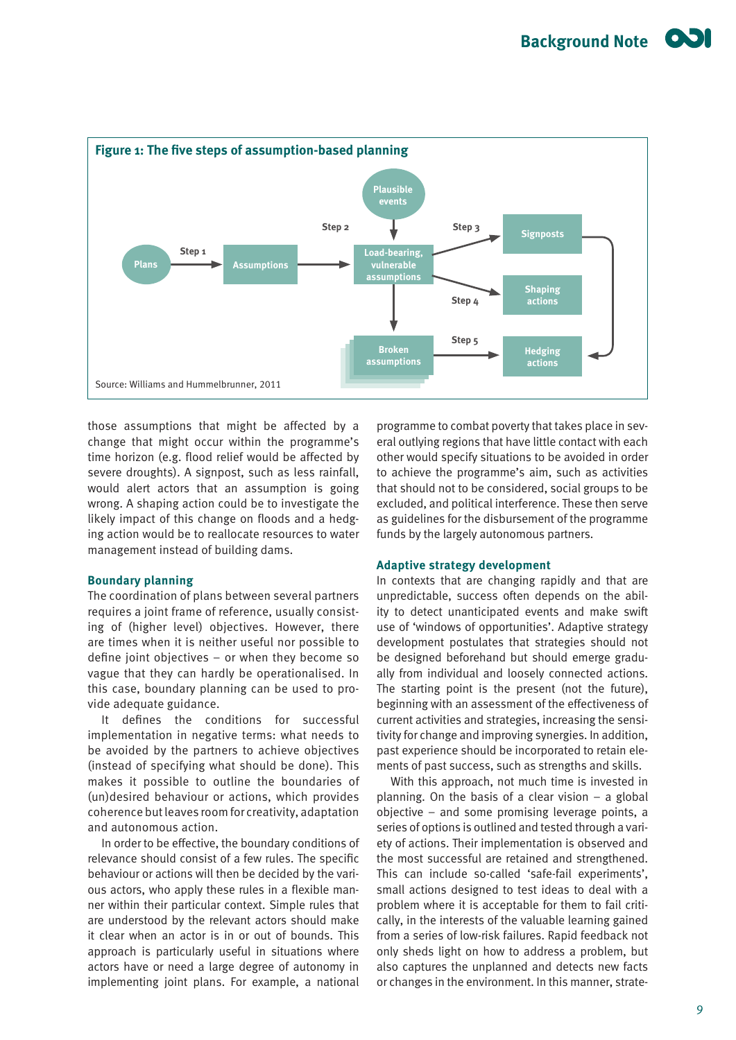

those assumptions that might be affected by a change that might occur within the programme's time horizon (e.g. flood relief would be affected by severe droughts). A signpost, such as less rainfall, would alert actors that an assumption is going wrong. A shaping action could be to investigate the likely impact of this change on floods and a hedging action would be to reallocate resources to water management instead of building dams.

#### **Boundary planning**

The coordination of plans between several partners requires a joint frame of reference, usually consisting of (higher level) objectives. However, there are times when it is neither useful nor possible to define joint objectives – or when they become so vague that they can hardly be operationalised. In this case, boundary planning can be used to provide adequate guidance.

It defines the conditions for successful implementation in negative terms: what needs to be avoided by the partners to achieve objectives (instead of specifying what should be done). This makes it possible to outline the boundaries of (un)desired behaviour or actions, which provides coherence but leaves room for creativity, adaptation and autonomous action.

In order to be effective, the boundary conditions of relevance should consist of a few rules. The specific behaviour or actions will then be decided by the various actors, who apply these rules in a flexible manner within their particular context. Simple rules that are understood by the relevant actors should make it clear when an actor is in or out of bounds. This approach is particularly useful in situations where actors have or need a large degree of autonomy in implementing joint plans. For example, a national programme to combat poverty that takes place in several outlying regions that have little contact with each other would specify situations to be avoided in order to achieve the programme's aim, such as activities that should not to be considered, social groups to be excluded, and political interference. These then serve as guidelines for the disbursement of the programme funds by the largely autonomous partners.

#### **Adaptive strategy development**

In contexts that are changing rapidly and that are unpredictable, success often depends on the ability to detect unanticipated events and make swift use of 'windows of opportunities'. Adaptive strategy development postulates that strategies should not be designed beforehand but should emerge gradually from individual and loosely connected actions. The starting point is the present (not the future), beginning with an assessment of the effectiveness of current activities and strategies, increasing the sensitivity for change and improving synergies. In addition, past experience should be incorporated to retain elements of past success, such as strengths and skills.

With this approach, not much time is invested in planning. On the basis of a clear vision  $-$  a global objective – and some promising leverage points, a series of options is outlined and tested through a variety of actions. Their implementation is observed and the most successful are retained and strengthened. This can include so-called 'safe-fail experiments', small actions designed to test ideas to deal with a problem where it is acceptable for them to fail critically, in the interests of the valuable learning gained from a series of low-risk failures. Rapid feedback not only sheds light on how to address a problem, but also captures the unplanned and detects new facts or changes in the environment. In this manner, strate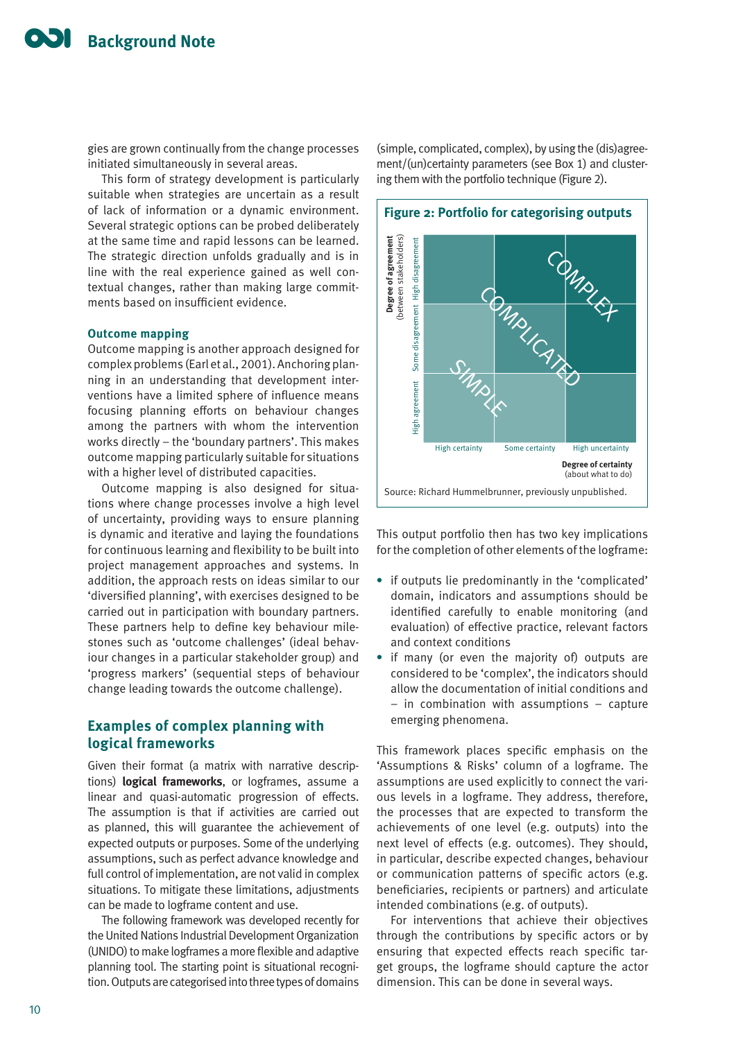gies are grown continually from the change processes initiated simultaneously in several areas.

This form of strategy development is particularly suitable when strategies are uncertain as a result of lack of information or a dynamic environment. Several strategic options can be probed deliberately at the same time and rapid lessons can be learned. The strategic direction unfolds gradually and is in line with the real experience gained as well contextual changes, rather than making large commitments based on insufficient evidence.

#### **Outcome mapping**

Outcome mapping is another approach designed for complex problems (Earl et al., 2001). Anchoring planning in an understanding that development interventions have a limited sphere of influence means focusing planning efforts on behaviour changes among the partners with whom the intervention works directly – the 'boundary partners'. This makes outcome mapping particularly suitable for situations with a higher level of distributed capacities.

Outcome mapping is also designed for situations where change processes involve a high level of uncertainty, providing ways to ensure planning is dynamic and iterative and laying the foundations for continuous learning and flexibility to be built into project management approaches and systems. In addition, the approach rests on ideas similar to our 'diversified planning', with exercises designed to be carried out in participation with boundary partners. These partners help to define key behaviour milestones such as 'outcome challenges' (ideal behaviour changes in a particular stakeholder group) and 'progress markers' (sequential steps of behaviour change leading towards the outcome challenge).

## **Examples of complex planning with logical frameworks**

Given their format (a matrix with narrative descriptions) **logical frameworks**, or logframes, assume a linear and quasi-automatic progression of effects. The assumption is that if activities are carried out as planned, this will guarantee the achievement of expected outputs or purposes. Some of the underlying assumptions, such as perfect advance knowledge and full control of implementation, are not valid in complex situations. To mitigate these limitations, adjustments can be made to logframe content and use.

The following framework was developed recently for the United Nations Industrial Development Organization (UNIDO) to make logframes a more flexible and adaptive planning tool. The starting point is situational recognition. Outputs are categorised into three types of domains

(simple, complicated, complex), by using the (dis)agreement/(un)certainty parameters (see Box 1) and clustering them with the portfolio technique (Figure 2).



This output portfolio then has two key implications for the completion of other elements of the logframe:

- **•** if outputs lie predominantly in the 'complicated' domain, indicators and assumptions should be identified carefully to enable monitoring (and evaluation) of effective practice, relevant factors and context conditions
- **•** if many (or even the majority of) outputs are considered to be 'complex', the indicators should allow the documentation of initial conditions and – in combination with assumptions – capture emerging phenomena.

This framework places specific emphasis on the 'Assumptions & Risks' column of a logframe. The assumptions are used explicitly to connect the various levels in a logframe. They address, therefore, the processes that are expected to transform the achievements of one level (e.g. outputs) into the next level of effects (e.g. outcomes). They should, in particular, describe expected changes, behaviour or communication patterns of specific actors (e.g. beneficiaries, recipients or partners) and articulate intended combinations (e.g. of outputs).

For interventions that achieve their objectives through the contributions by specific actors or by ensuring that expected effects reach specific target groups, the logframe should capture the actor dimension. This can be done in several ways.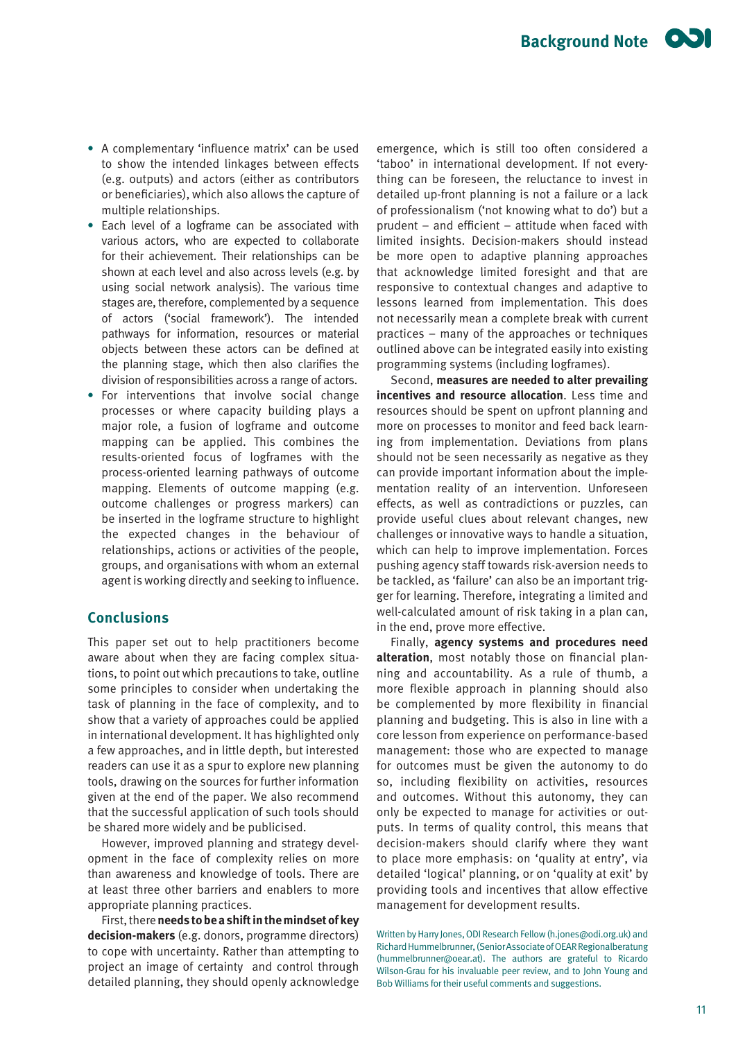- **•** A complementary 'influence matrix' can be used to show the intended linkages between effects (e.g. outputs) and actors (either as contributors or beneficiaries), which also allows the capture of multiple relationships.
- **•** Each level of a logframe can be associated with various actors, who are expected to collaborate for their achievement. Their relationships can be shown at each level and also across levels (e.g. by using social network analysis). The various time stages are, therefore, complemented by a sequence of actors ('social framework'). The intended pathways for information, resources or material objects between these actors can be defined at the planning stage, which then also clarifies the division of responsibilities across a range of actors.
- **•** For interventions that involve social change processes or where capacity building plays a major role, a fusion of logframe and outcome mapping can be applied. This combines the results-oriented focus of logframes with the process-oriented learning pathways of outcome mapping. Elements of outcome mapping (e.g. outcome challenges or progress markers) can be inserted in the logframe structure to highlight the expected changes in the behaviour of relationships, actions or activities of the people, groups, and organisations with whom an external agent is working directly and seeking to influence.

## **Conclusions**

This paper set out to help practitioners become aware about when they are facing complex situations, to point out which precautions to take, outline some principles to consider when undertaking the task of planning in the face of complexity, and to show that a variety of approaches could be applied in international development. It has highlighted only a few approaches, and in little depth, but interested readers can use it as a spur to explore new planning tools, drawing on the sources for further information given at the end of the paper. We also recommend that the successful application of such tools should be shared more widely and be publicised.

However, improved planning and strategy development in the face of complexity relies on more than awareness and knowledge of tools. There are at least three other barriers and enablers to more appropriate planning practices.

First, there **needs to be a shift in the mindset of key decision-makers** (e.g. donors, programme directors) to cope with uncertainty. Rather than attempting to project an image of certainty and control through detailed planning, they should openly acknowledge

emergence, which is still too often considered a 'taboo' in international development. If not everything can be foreseen, the reluctance to invest in detailed up-front planning is not a failure or a lack of professionalism ('not knowing what to do') but a prudent – and efficient – attitude when faced with limited insights. Decision-makers should instead be more open to adaptive planning approaches that acknowledge limited foresight and that are responsive to contextual changes and adaptive to lessons learned from implementation. This does not necessarily mean a complete break with current practices – many of the approaches or techniques outlined above can be integrated easily into existing programming systems (including logframes).

Second, **measures are needed to alter prevailing incentives and resource allocation**. Less time and resources should be spent on upfront planning and more on processes to monitor and feed back learning from implementation. Deviations from plans should not be seen necessarily as negative as they can provide important information about the implementation reality of an intervention. Unforeseen effects, as well as contradictions or puzzles, can provide useful clues about relevant changes, new challenges or innovative ways to handle a situation, which can help to improve implementation. Forces pushing agency staff towards risk-aversion needs to be tackled, as 'failure' can also be an important trigger for learning. Therefore, integrating a limited and well-calculated amount of risk taking in a plan can, in the end, prove more effective.

Finally, **agency systems and procedures need alteration**, most notably those on financial planning and accountability. As a rule of thumb, a more flexible approach in planning should also be complemented by more flexibility in financial planning and budgeting. This is also in line with a core lesson from experience on performance-based management: those who are expected to manage for outcomes must be given the autonomy to do so, including flexibility on activities, resources and outcomes. Without this autonomy, they can only be expected to manage for activities or outputs. In terms of quality control, this means that decision-makers should clarify where they want to place more emphasis: on 'quality at entry', via detailed 'logical' planning, or on 'quality at exit' by providing tools and incentives that allow effective management for development results.

Written by Harry Jones, ODI Research Fellow (h.jones@odi.org.uk) and Richard Hummelbrunner, (Senior Associate of OEAR Regionalberatung (hummelbrunner@oear.at). The authors are grateful to Ricardo Wilson-Grau for his invaluable peer review, and to John Young and Bob Williams for their useful comments and suggestions.